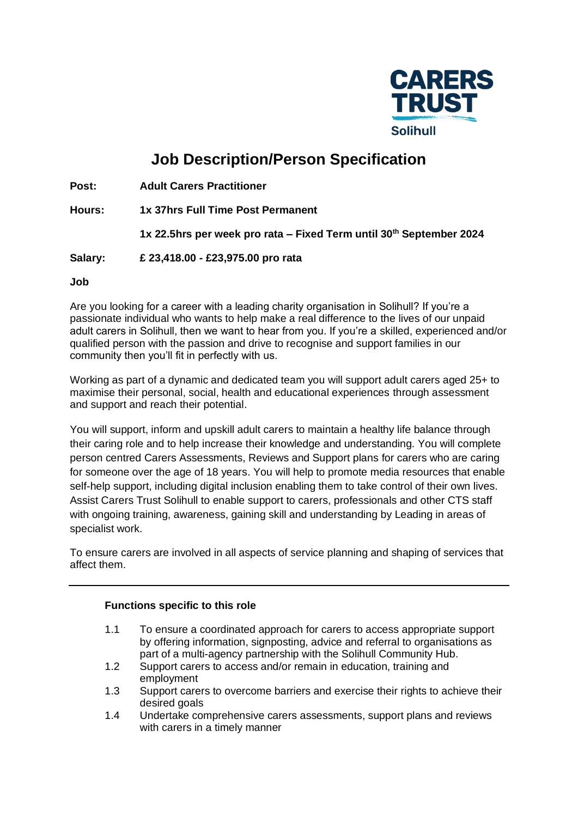

# **Job Description/Person Specification**

**Post: Adult Carers Practitioner**

**Hours: 1x 37hrs Full Time Post Permanent**

**1x 22.5hrs per week pro rata – Fixed Term until 30th September 2024**

**Salary: £ 23,418.00 - £23,975.00 pro rata**

**Job** 

Are you looking for a career with a leading charity organisation in Solihull? If you're a passionate individual who wants to help make a real difference to the lives of our unpaid adult carers in Solihull, then we want to hear from you. If you're a skilled, experienced and/or qualified person with the passion and drive to recognise and support families in our community then you'll fit in perfectly with us.

Working as part of a dynamic and dedicated team you will support adult carers aged 25+ to maximise their personal, social, health and educational experiences through assessment and support and reach their potential.

You will support, inform and upskill adult carers to maintain a healthy life balance through their caring role and to help increase their knowledge and understanding. You will complete person centred Carers Assessments, Reviews and Support plans for carers who are caring for someone over the age of 18 years. You will help to promote media resources that enable self-help support, including digital inclusion enabling them to take control of their own lives. Assist Carers Trust Solihull to enable support to carers, professionals and other CTS staff with ongoing training, awareness, gaining skill and understanding by Leading in areas of specialist work.

To ensure carers are involved in all aspects of service planning and shaping of services that affect them.

#### **Functions specific to this role**

- 1.1 To ensure a coordinated approach for carers to access appropriate support by offering information, signposting, advice and referral to organisations as part of a multi-agency partnership with the Solihull Community Hub.
- 1.2 Support carers to access and/or remain in education, training and employment
- 1.3 Support carers to overcome barriers and exercise their rights to achieve their desired goals
- 1.4 Undertake comprehensive carers assessments, support plans and reviews with carers in a timely manner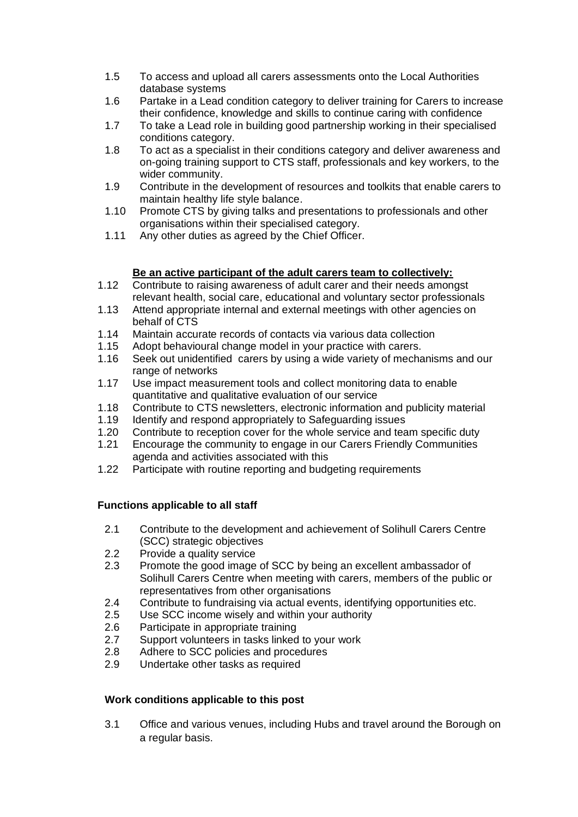- 1.5 To access and upload all carers assessments onto the Local Authorities database systems
- 1.6 Partake in a Lead condition category to deliver training for Carers to increase their confidence, knowledge and skills to continue caring with confidence
- 1.7 To take a Lead role in building good partnership working in their specialised conditions category.
- 1.8 To act as a specialist in their conditions category and deliver awareness and on-going training support to CTS staff, professionals and key workers, to the wider community.
- 1.9 Contribute in the development of resources and toolkits that enable carers to maintain healthy life style balance.
- 1.10 Promote CTS by giving talks and presentations to professionals and other organisations within their specialised category.
- 1.11 Any other duties as agreed by the Chief Officer.

# **Be an active participant of the adult carers team to collectively:**

- 1.12 Contribute to raising awareness of adult carer and their needs amongst relevant health, social care, educational and voluntary sector professionals
- 1.13 Attend appropriate internal and external meetings with other agencies on behalf of CTS
- 1.14 Maintain accurate records of contacts via various data collection
- 1.15 Adopt behavioural change model in your practice with carers.
- 1.16 Seek out unidentified carers by using a wide variety of mechanisms and our range of networks
- 1.17 Use impact measurement tools and collect monitoring data to enable quantitative and qualitative evaluation of our service
- 1.18 Contribute to CTS newsletters, electronic information and publicity material
- 1.19 Identify and respond appropriately to Safeguarding issues
- 1.20 Contribute to reception cover for the whole service and team specific duty
- 1.21 Encourage the community to engage in our Carers Friendly Communities agenda and activities associated with this
- 1.22 Participate with routine reporting and budgeting requirements

# **Functions applicable to all staff**

- 2.1 Contribute to the development and achievement of Solihull Carers Centre (SCC) strategic objectives
- 2.2 Provide a quality service
- 2.3 Promote the good image of SCC by being an excellent ambassador of Solihull Carers Centre when meeting with carers, members of the public or representatives from other organisations
- 2.4 Contribute to fundraising via actual events, identifying opportunities etc.<br>2.5 Use SCC income wisely and within your authority
- Use SCC income wisely and within your authority
- 2.6 Participate in appropriate training
- 2.7 Support volunteers in tasks linked to your work
- 2.8 Adhere to SCC policies and procedures
- 2.9 Undertake other tasks as required

#### **Work conditions applicable to this post**

3.1 Office and various venues, including Hubs and travel around the Borough on a regular basis.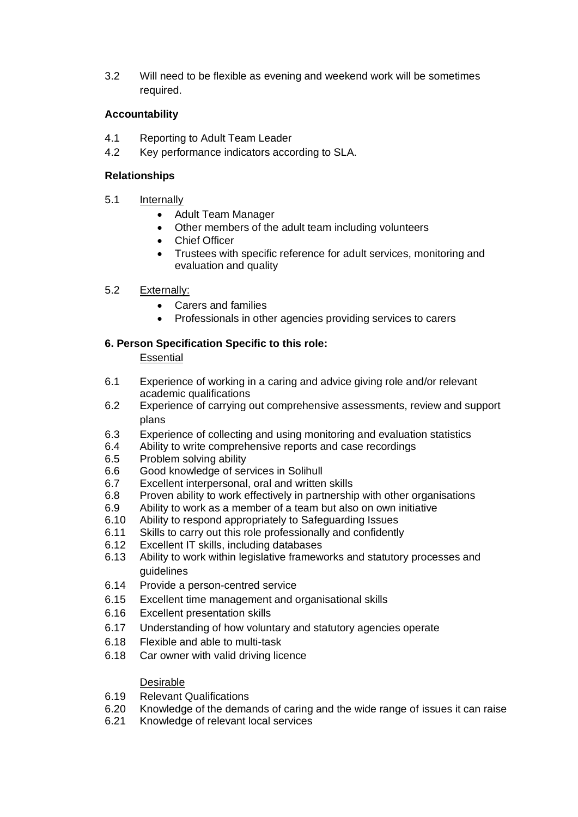3.2 Will need to be flexible as evening and weekend work will be sometimes required.

## **Accountability**

- 4.1 Reporting to Adult Team Leader
- 4.2 Key performance indicators according to SLA.

## **Relationships**

- 5.1 Internally
	- Adult Team Manager
	- Other members of the adult team including volunteers
	- Chief Officer
	- Trustees with specific reference for adult services, monitoring and evaluation and quality

## 5.2 Externally:

- Carers and families
- Professionals in other agencies providing services to carers

# **6. Person Specification Specific to this role:**

## **Essential**

- 6.1 Experience of working in a caring and advice giving role and/or relevant academic qualifications
- 6.2 Experience of carrying out comprehensive assessments, review and support plans
- 6.3 Experience of collecting and using monitoring and evaluation statistics
- 6.4 Ability to write comprehensive reports and case recordings
- 6.5 Problem solving ability
- 6.6 Good knowledge of services in Solihull
- 6.7 Excellent interpersonal, oral and written skills
- 6.8 Proven ability to work effectively in partnership with other organisations
- 6.9 Ability to work as a member of a team but also on own initiative
- 6.10 Ability to respond appropriately to Safeguarding Issues
- 6.11 Skills to carry out this role professionally and confidently
- 6.12 Excellent IT skills, including databases
- 6.13 Ability to work within legislative frameworks and statutory processes and guidelines
- 6.14 Provide a person-centred service
- 6.15 Excellent time management and organisational skills
- 6.16 Excellent presentation skills
- 6.17 Understanding of how voluntary and statutory agencies operate
- 6.18 Flexible and able to multi-task
- 6.18 Car owner with valid driving licence

#### Desirable

- 6.19 Relevant Qualifications
- 6.20 Knowledge of the demands of caring and the wide range of issues it can raise
- 6.21 Knowledge of relevant local services